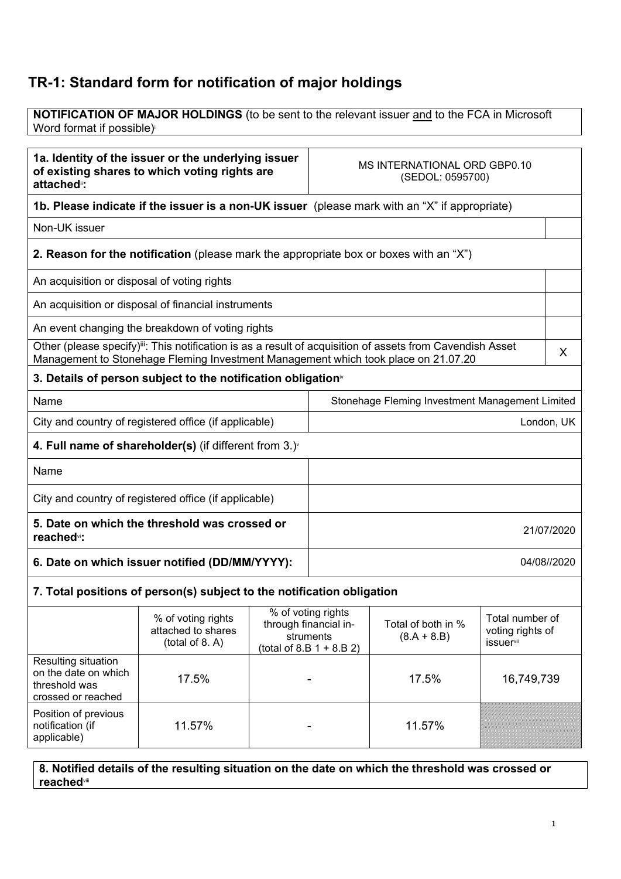## TR-1: Standard form for notification of major holdings

NOTIFICATION OF MAJOR HOLDINGS (to be sent to the relevant issuer and to the FCA in Microsoft Word format if possible)<sup>i</sup>

| 1a. Identity of the issuer or the underlying issuer<br>of existing shares to which voting rights are<br>attached <sup>®</sup> : |                                                                                               |             | MS INTERNATIONAL ORD GBP0.10<br>(SEDOL: 0595700)                                                                                                                                                                  |                                                  |  |            |
|---------------------------------------------------------------------------------------------------------------------------------|-----------------------------------------------------------------------------------------------|-------------|-------------------------------------------------------------------------------------------------------------------------------------------------------------------------------------------------------------------|--------------------------------------------------|--|------------|
|                                                                                                                                 | 1b. Please indicate if the issuer is a non-UK issuer (please mark with an "X" if appropriate) |             |                                                                                                                                                                                                                   |                                                  |  |            |
| Non-UK issuer                                                                                                                   |                                                                                               |             |                                                                                                                                                                                                                   |                                                  |  |            |
|                                                                                                                                 | 2. Reason for the notification (please mark the appropriate box or boxes with an "X")         |             |                                                                                                                                                                                                                   |                                                  |  |            |
| An acquisition or disposal of voting rights                                                                                     |                                                                                               |             |                                                                                                                                                                                                                   |                                                  |  |            |
|                                                                                                                                 | An acquisition or disposal of financial instruments                                           |             |                                                                                                                                                                                                                   |                                                  |  |            |
|                                                                                                                                 | An event changing the breakdown of voting rights                                              |             |                                                                                                                                                                                                                   |                                                  |  |            |
|                                                                                                                                 |                                                                                               |             | Other (please specify) <sup>iii</sup> : This notification is as a result of acquisition of assets from Cavendish Asset<br>X<br>Management to Stonehage Fleming Investment Management which took place on 21.07.20 |                                                  |  |            |
|                                                                                                                                 | 3. Details of person subject to the notification obligation <sup>®</sup>                      |             |                                                                                                                                                                                                                   |                                                  |  |            |
| Name                                                                                                                            |                                                                                               |             |                                                                                                                                                                                                                   | Stonehage Fleming Investment Management Limited  |  |            |
| City and country of registered office (if applicable)                                                                           |                                                                                               |             |                                                                                                                                                                                                                   |                                                  |  | London, UK |
|                                                                                                                                 | 4. Full name of shareholder(s) (if different from $3.$ ) $\dot{ }$                            |             |                                                                                                                                                                                                                   |                                                  |  |            |
| Name                                                                                                                            |                                                                                               |             |                                                                                                                                                                                                                   |                                                  |  |            |
| City and country of registered office (if applicable)                                                                           |                                                                                               |             |                                                                                                                                                                                                                   |                                                  |  |            |
| 5. Date on which the threshold was crossed or<br>reached <sup>vi</sup> :                                                        |                                                                                               | 21/07/2020  |                                                                                                                                                                                                                   |                                                  |  |            |
| 6. Date on which issuer notified (DD/MM/YYYY):                                                                                  |                                                                                               | 04/08//2020 |                                                                                                                                                                                                                   |                                                  |  |            |
|                                                                                                                                 | 7. Total positions of person(s) subject to the notification obligation                        |             |                                                                                                                                                                                                                   |                                                  |  |            |
| % of voting rights<br>% of voting rights<br>through financial in-<br>attached to shares<br>struments<br>(total of 8 A)          |                                                                                               |             | Total of both in %<br>$(8.A + 8.B)$                                                                                                                                                                               | Total number of<br>voting rights of<br>ieeuorvii |  |            |

|                                                                                           | allay itu lu si iai ts<br>(total of 8. A) | struments<br>(total of 8.B $1 + 8.B 2$ ) | $(8.A + 8.B)$ | voung ngmo or<br><i>issuer</i> <sup>vii</sup> |
|-------------------------------------------------------------------------------------------|-------------------------------------------|------------------------------------------|---------------|-----------------------------------------------|
| <b>Resulting situation</b><br>on the date on which<br>threshold was<br>crossed or reached | 17.5%                                     |                                          | 17.5%         | 16,749,739                                    |
| Position of previous<br>notification (if<br>applicable)                                   | 11.57%                                    |                                          | 11.57%        |                                               |

8. Notified details of the resulting situation on the date on which the threshold was crossed or reachedviii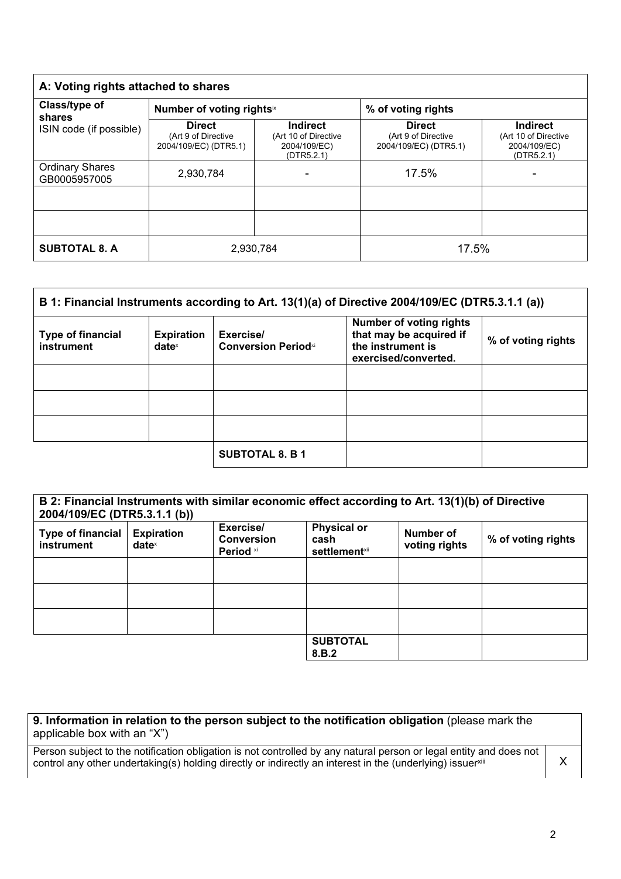| A: Voting rights attached to shares                |                                                               |                                                                       |                                                               |                                                                       |
|----------------------------------------------------|---------------------------------------------------------------|-----------------------------------------------------------------------|---------------------------------------------------------------|-----------------------------------------------------------------------|
| Class/type of<br>shares<br>ISIN code (if possible) | Number of voting rightsix                                     |                                                                       | % of voting rights                                            |                                                                       |
|                                                    | <b>Direct</b><br>(Art 9 of Directive<br>2004/109/EC) (DTR5.1) | <b>Indirect</b><br>(Art 10 of Directive<br>2004/109/EC)<br>(DTR5.2.1) | <b>Direct</b><br>(Art 9 of Directive<br>2004/109/EC) (DTR5.1) | <b>Indirect</b><br>(Art 10 of Directive<br>2004/109/EC)<br>(DTR5.2.1) |
| <b>Ordinary Shares</b><br>GB0005957005             | 2,930,784                                                     |                                                                       | 17.5%                                                         |                                                                       |
|                                                    |                                                               |                                                                       |                                                               |                                                                       |
|                                                    |                                                               |                                                                       |                                                               |                                                                       |
| <b>SUBTOTAL 8. A</b>                               | 2,930,784                                                     |                                                                       | 17.5%                                                         |                                                                       |

| B 1: Financial Instruments according to Art. 13(1)(a) of Directive 2004/109/EC (DTR5.3.1.1 (a)) |                                      |                                          |                                                                                                        |                    |
|-------------------------------------------------------------------------------------------------|--------------------------------------|------------------------------------------|--------------------------------------------------------------------------------------------------------|--------------------|
| <b>Type of financial</b><br>instrument                                                          | <b>Expiration</b><br>$date^{\times}$ | Exercise/<br><b>Conversion Period</b> xi | <b>Number of voting rights</b><br>that may be acquired if<br>the instrument is<br>exercised/converted. | % of voting rights |
|                                                                                                 |                                      |                                          |                                                                                                        |                    |
|                                                                                                 |                                      |                                          |                                                                                                        |                    |
|                                                                                                 |                                      |                                          |                                                                                                        |                    |
|                                                                                                 |                                      | <b>SUBTOTAL 8. B 1</b>                   |                                                                                                        |                    |

| B 2: Financial Instruments with similar economic effect according to Art. 13(1)(b) of Directive<br>2004/109/EC (DTR5.3.1.1 (b)) |                                      |                                             |                                                     |                            |                    |
|---------------------------------------------------------------------------------------------------------------------------------|--------------------------------------|---------------------------------------------|-----------------------------------------------------|----------------------------|--------------------|
| <b>Type of financial</b><br>instrument                                                                                          | <b>Expiration</b><br>$date^{\times}$ | Exercise/<br><b>Conversion</b><br>Period xi | <b>Physical or</b><br>cash<br><b>settlement</b> xii | Number of<br>voting rights | % of voting rights |
|                                                                                                                                 |                                      |                                             |                                                     |                            |                    |
|                                                                                                                                 |                                      |                                             |                                                     |                            |                    |
|                                                                                                                                 |                                      |                                             |                                                     |                            |                    |
|                                                                                                                                 |                                      |                                             | <b>SUBTOTAL</b><br>8.B.2                            |                            |                    |

| 9. Information in relation to the person subject to the notification obligation (please mark the |  |
|--------------------------------------------------------------------------------------------------|--|
| applicable box with an "X")                                                                      |  |

Person subject to the notification obligation is not controlled by any natural person or legal entity and does not control any other undertaking(s) holding directly or indirectly an interest in the (underlying) issuerxili  $X$